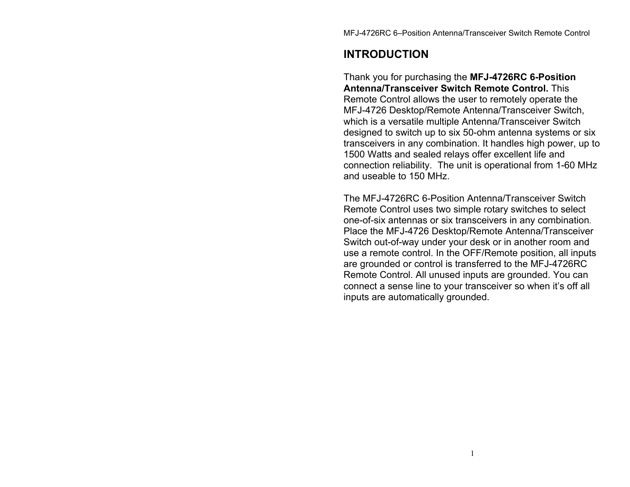## **INTRODUCTION**

Thank you for purchasing the **MFJ-4726RC 6-Position Antenna/Transceiver Switch Remote Control.** This Remote Control allows the user to remotely operate the MFJ-4726 Desktop/Remote Antenna/Transceiver Switch, which is a versatile multiple Antenna/Transceiver Switch designed to switch up to six 50-ohm antenna systems or six transceivers in any combination. It handles high power, up to 1500 Watts and sealed relays offer excellent life and connection reliability. The unit is operational from 1-60 MHz and useable to 150 MHz.

The MFJ-4726RC 6-Position Antenna/Transceiver Switch Remote Control uses two simple rotary switches to select one-of-six antennas or six transceivers in any combination. Place the MFJ-4726 Desktop/Remote Antenna/Transceiver Switch out-of-way under your desk or in another room and use a remote control. In the OFF/Remote position, all inputs are grounded or control is transferred to the MFJ-4726RC Remote Control. All unused inputs are grounded. You can connect a sense line to your transceiver so when it's off all inputs are automatically grounded.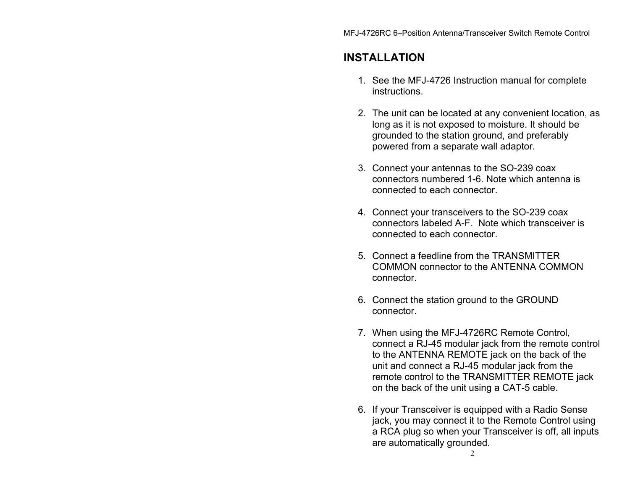## **INSTALLATION**

- 1. See the MFJ-4726 Instruction manual for complete instructions.
- 2. The unit can be located at any convenient location, as long as it is not exposed to moisture. It should be grounded to the station ground, and preferably powered from a separate wall adaptor.
- 3. Connect your antennas to the SO-239 coax connectors numbered 1-6. Note which antenna is connected to each connector.
- 4. Connect your transceivers to the SO-239 coax connectors labeled A-F. Note which transceiver is connected to each connector.
- 5. Connect a feedline from the TRANSMITTER COMMON connector to the ANTENNA COMMON connector.
- 6. Connect the station ground to the GROUND connector.
- 7. When using the MFJ-4726RC Remote Control, connect a RJ-45 modular jack from the remote control to the ANTENNA REMOTE jack on the back of the unit and connect a RJ-45 modular jack from the remote control to the TRANSMITTER REMOTE jack on the back of the unit using a CAT-5 cable.
- 6. If your Transceiver is equipped with a Radio Sense jack, you may connect it to the Remote Control using a RCA plug so when your Transceiver is off, all inputs are automatically grounded.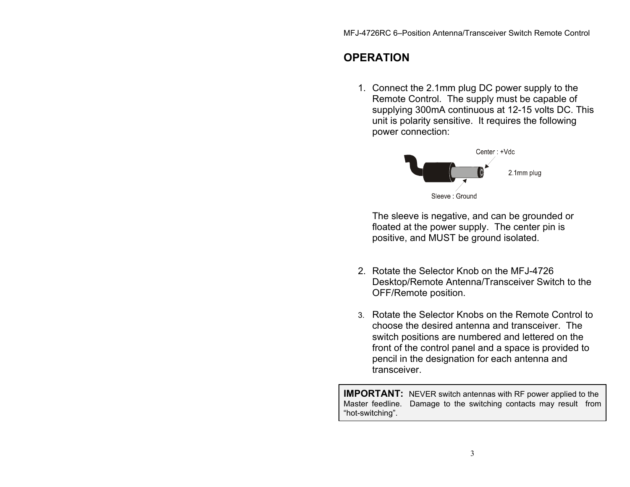## **OPERATION**

1. Connect the 2.1mm plug DC power supply to the Remote Control. The supply must be capable of supplying 300mA continuous at 12-15 volts DC. This unit is polarity sensitive. It requires the following power connection:



The sleeve is negative, and can be grounded or floated at the power supply. The center pin is positive, and MUST be ground isolated.

- 2. Rotate the Selector Knob on the MFJ-4726 Desktop/Remote Antenna/Transceiver Switch to the OFF/Remote position.
- 3. Rotate the Selector Knobs on the Remote Control to choose the desired antenna and transceiver. The switch positions are numbered and lettered on the front of the control panel and a space is provided to pencil in the designation for each antenna and transceiver.

**IMPORTANT:** NEVER switch antennas with RF power applied to the Master feedline. Damage to the switching contacts may result from "hot-switching".